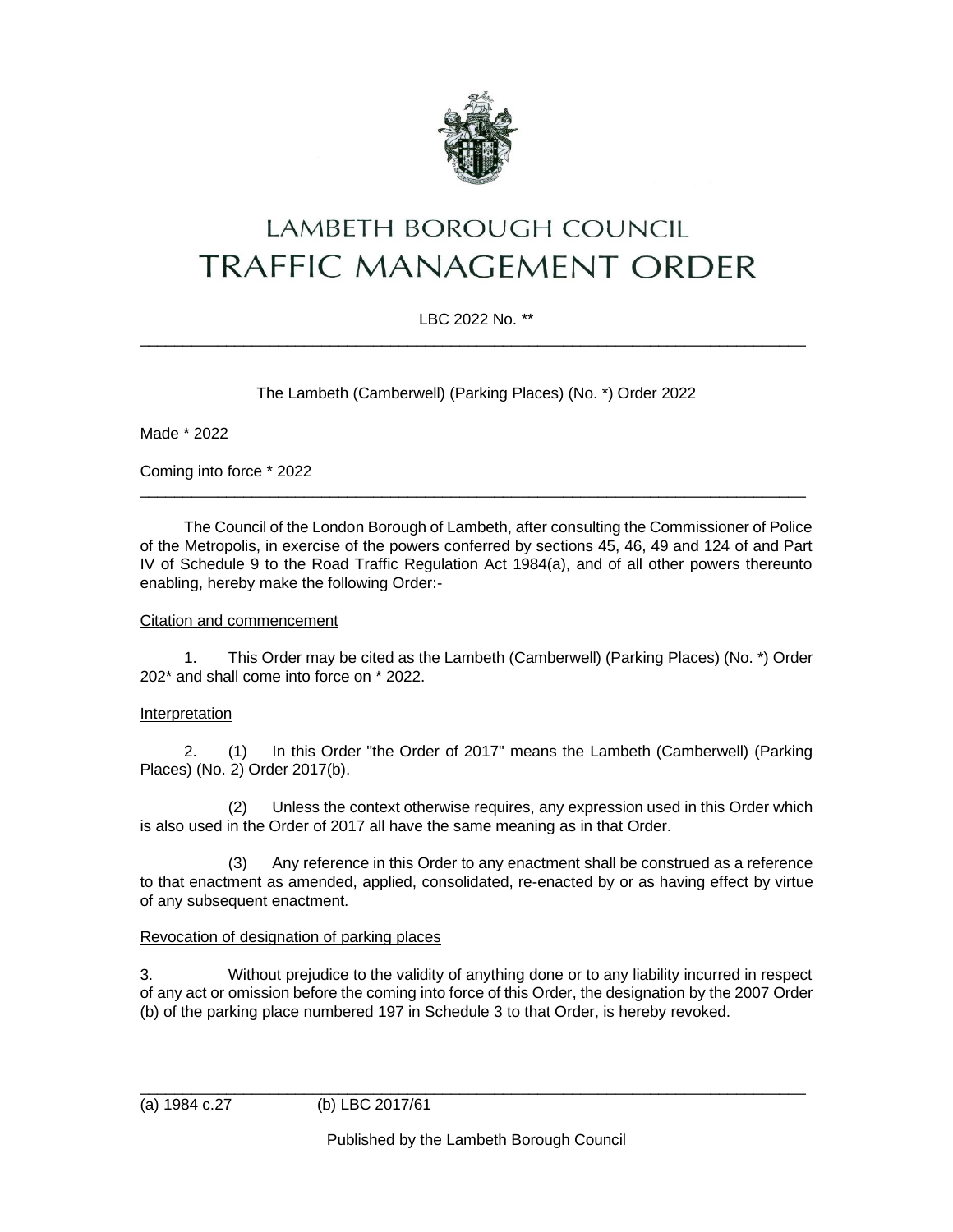

# **LAMBETH BOROUGH COUNCIL TRAFFIC MANAGEMENT ORDER**

# LBC 2022 No. \*\*  $\_$  ,  $\_$  ,  $\_$  ,  $\_$  ,  $\_$  ,  $\_$  ,  $\_$  ,  $\_$  ,  $\_$  ,  $\_$  ,  $\_$  ,  $\_$  ,  $\_$  ,  $\_$  ,  $\_$  ,  $\_$  ,  $\_$  ,  $\_$  ,  $\_$  ,  $\_$  ,  $\_$  ,  $\_$  ,  $\_$  ,  $\_$  ,  $\_$  ,  $\_$  ,  $\_$  ,  $\_$  ,  $\_$  ,  $\_$  ,  $\_$  ,  $\_$  ,  $\_$  ,  $\_$  ,  $\_$  ,  $\_$  ,  $\_$  ,

The Lambeth (Camberwell) (Parking Places) (No. \*) Order 2022

Made \* 2022

Coming into force \* 2022

The Council of the London Borough of Lambeth, after consulting the Commissioner of Police of the Metropolis, in exercise of the powers conferred by sections 45, 46, 49 and 124 of and Part IV of Schedule 9 to the Road Traffic Regulation Act 1984(a), and of all other powers thereunto enabling, hereby make the following Order:-

\_\_\_\_\_\_\_\_\_\_\_\_\_\_\_\_\_\_\_\_\_\_\_\_\_\_\_\_\_\_\_\_\_\_\_\_\_\_\_\_\_\_\_\_\_\_\_\_\_\_\_\_\_\_\_\_\_\_\_\_\_\_\_\_\_\_\_\_\_\_\_\_\_\_\_\_\_

#### Citation and commencement

1. This Order may be cited as the Lambeth (Camberwell) (Parking Places) (No. \*) Order 202\* and shall come into force on \* 2022.

## Interpretation

2. (1) In this Order "the Order of 2017" means the Lambeth (Camberwell) (Parking Places) (No. 2) Order 2017(b).

(2) Unless the context otherwise requires, any expression used in this Order which is also used in the Order of 2017 all have the same meaning as in that Order.

(3) Any reference in this Order to any enactment shall be construed as a reference to that enactment as amended, applied, consolidated, re-enacted by or as having effect by virtue of any subsequent enactment.

## Revocation of designation of parking places

3. Without prejudice to the validity of anything done or to any liability incurred in respect of any act or omission before the coming into force of this Order, the designation by the 2007 Order (b) of the parking place numbered 197 in Schedule 3 to that Order, is hereby revoked.

\_\_\_\_\_\_\_\_\_\_\_\_\_\_\_\_\_\_\_\_\_\_\_\_\_\_\_\_\_\_\_\_\_\_\_\_\_\_\_\_\_\_\_\_\_\_\_\_\_\_\_\_\_\_\_\_\_\_\_\_\_\_\_\_\_\_\_\_\_\_\_\_\_\_\_\_\_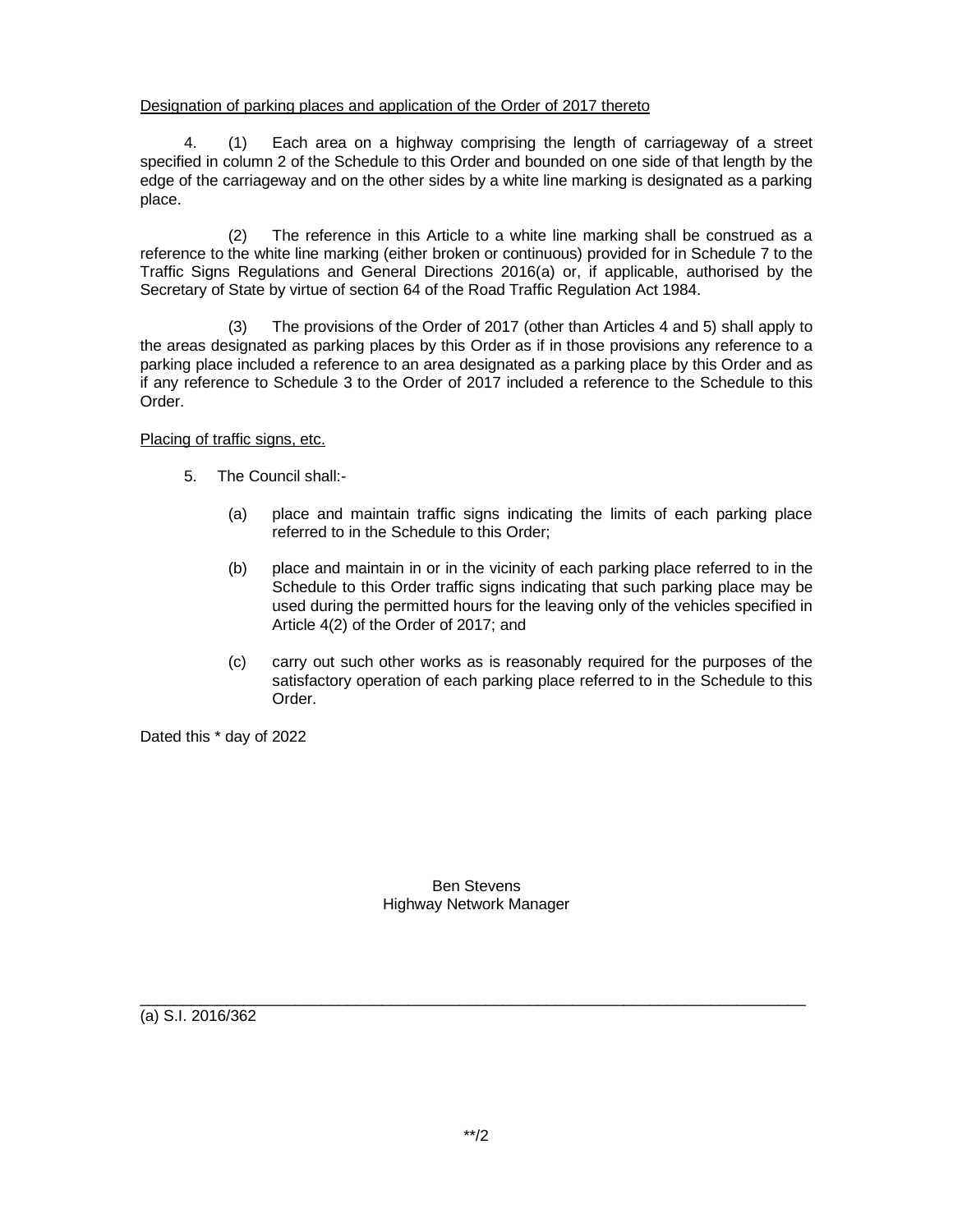#### Designation of parking places and application of the Order of 2017 thereto

4. (1) Each area on a highway comprising the length of carriageway of a street specified in column 2 of the Schedule to this Order and bounded on one side of that length by the edge of the carriageway and on the other sides by a white line marking is designated as a parking place.

(2) The reference in this Article to a white line marking shall be construed as a reference to the white line marking (either broken or continuous) provided for in Schedule 7 to the Traffic Signs Regulations and General Directions 2016(a) or, if applicable, authorised by the Secretary of State by virtue of section 64 of the Road Traffic Regulation Act 1984.

(3) The provisions of the Order of 2017 (other than Articles 4 and 5) shall apply to the areas designated as parking places by this Order as if in those provisions any reference to a parking place included a reference to an area designated as a parking place by this Order and as if any reference to Schedule 3 to the Order of 2017 included a reference to the Schedule to this Order.

Placing of traffic signs, etc.

- 5. The Council shall:-
	- (a) place and maintain traffic signs indicating the limits of each parking place referred to in the Schedule to this Order;
	- (b) place and maintain in or in the vicinity of each parking place referred to in the Schedule to this Order traffic signs indicating that such parking place may be used during the permitted hours for the leaving only of the vehicles specified in Article 4(2) of the Order of 2017; and
	- (c) carry out such other works as is reasonably required for the purposes of the satisfactory operation of each parking place referred to in the Schedule to this Order.

Dated this \* day of 2022

Ben Stevens Highway Network Manager

 $\_$  ,  $\_$  ,  $\_$  ,  $\_$  ,  $\_$  ,  $\_$  ,  $\_$  ,  $\_$  ,  $\_$  ,  $\_$  ,  $\_$  ,  $\_$  ,  $\_$  ,  $\_$  ,  $\_$  ,  $\_$  ,  $\_$  ,  $\_$  ,  $\_$  ,  $\_$  ,  $\_$  ,  $\_$  ,  $\_$  ,  $\_$  ,  $\_$  ,  $\_$  ,  $\_$  ,  $\_$  ,  $\_$  ,  $\_$  ,  $\_$  ,  $\_$  ,  $\_$  ,  $\_$  ,  $\_$  ,  $\_$  ,  $\_$  ,

(a) S.I. 2016/362